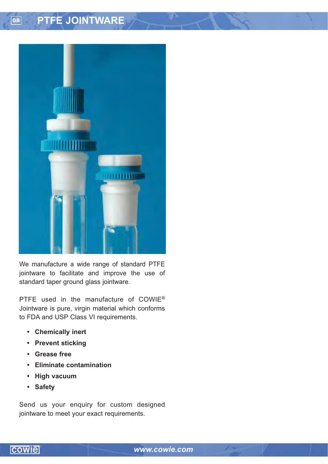

We manufacture a wide range of standard PTFE jointware to facilitate and improve the use of standard taper ground glass jointware.

PTFE used in the manufacture of COWIE® Jointware is pure, virgin material which conforms to FDA and USP Class VI requirements.

- Chemically inert
- Prevent sticking
- Grease free
- Eliminate contamination
- High vacuum
- Safety

Send us your enquiry for custom designed jointware to meet your exact requirements.

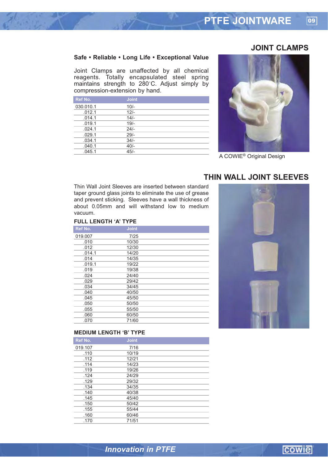## **JOINT CLAMPS**

## Safe • Reliable • Long Life • Exceptional Value

Joint Clamps are unaffected by all chemical<br>reagents. Totally encapsulated steel spring<br>maintains strength to 280°C. Adjust simply by compression-extension by hand.

| Ref No.   | <b>Joint</b> |  |
|-----------|--------------|--|
| 030.010.1 | $10/-$       |  |
| .012.1    | $12/-$       |  |
| .014.1    | $14/-$       |  |
| .019.1    | $19/-$       |  |
| .024.1    | $24/-$       |  |
| .029.1    | $29/-$       |  |
| .034.1    | $34/-$       |  |
| .040.1    | $40/-$       |  |
| .045.1    | $45/-$       |  |



A COWIE<sup>®</sup> Original Design

# THIN WALL JOINT SLEEVES

Thin Wall Joint Sleeves are inserted between standard taper ground glass joints to eliminate the use of grease and prevent sticking. Sleeves have a wall thickness of about 0.05mm and will withstand low to medium vacuum.

### **FULL LENGTH 'A' TYPE**

| Ref No. | <b>Joint</b> |  |
|---------|--------------|--|
| 019.007 | 7/25         |  |
| .010    | 10/30        |  |
| .012    | 12/30        |  |
| .014.1  | 14/20        |  |
| .014    | 14/35        |  |
| .019.1  | 19/22        |  |
| .019    | 19/38        |  |
| .024    | 24/40        |  |
| .029    | 29/42        |  |
| .034    | 34/45        |  |
| .040    | 40/50        |  |
| .045    | 45/50        |  |
| .050    | 50/50        |  |
| .055    | 55/50        |  |
| .060    | 60/50        |  |
| .070    | 71/60        |  |

#### **MEDIUM LENGTH 'B' TYPE**

| Ref No. | <b>Joint</b> |  |
|---------|--------------|--|
| 019.107 | 7/16         |  |
| .110    | 10/19        |  |
| .112    | 12/21        |  |
| .114    | 14/23        |  |
| .119    | 19/26        |  |
| .124    | 24/29        |  |
| .129    | 29/32        |  |
| .134    | 34/35        |  |
| .140    | 40/38        |  |
| .145    | 45/40        |  |
| .150    | 50/42        |  |
| .155    | 55/44        |  |
| .160    | 60/46        |  |
| 170     | 71/51        |  |



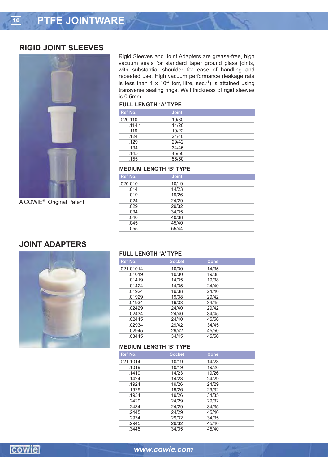# **RIGID JOINT SLEEVES**



A COWIE<sup>®</sup> Original Patent

Rigid Sleeves and Joint Adapters are grease-free, high vacuum seals for standard taper ground glass joints, with substantial shoulder for ease of handling and repeated use. High vacuum performance (leakage rate is less than 1 x  $10^{-4}$  torr, litre, sec.<sup>-1</sup>) is attained using transverse sealing rings. Wall thickness of rigid sleeves is 0.5mm.

### FULL LENGTH 'A' TYPE

| Ref No. | <b>Joint</b> |  |
|---------|--------------|--|
| 020.110 | 10/30        |  |
| .114.1  | 14/20        |  |
| .119.1  | 19/22        |  |
| .124    | 24/40        |  |
| .129    | 29/42        |  |
| .134    | 34/45        |  |
| .145    | 45/50        |  |
| .155    | 55/50        |  |

### MEDIUM LENGTH 'B' TYPE

| Ref No. | <b>Joint</b> |  |
|---------|--------------|--|
| 020.010 | 10/19        |  |
| .014    | 14/23        |  |
| .019    | 19/26        |  |
| .024    | 24/29        |  |
| .029    | 29/32        |  |
| .034    | 34/35        |  |
| .040    | 40/38        |  |
| .045    | 45/40        |  |
| .055    | 55/44        |  |
|         |              |  |

# **JOINT ADAPTERS**



| Ref No.   | <b>Socket</b> | Cone  |  |
|-----------|---------------|-------|--|
| 021.01014 | 10/30         | 14/35 |  |
| .01019    | 10/30         | 19/38 |  |
| .01419    | 14/35         | 19/38 |  |
| .01424    | 14/35         | 24/40 |  |
| .01924    | 19/38         | 24/40 |  |
| .01929    | 19/38         | 29/42 |  |
| .01934    | 19/38         | 34/45 |  |
| .02429    | 24/40         | 29/42 |  |
| .02434    | 24/40         | 34/45 |  |
| .02445    | 24/40         | 45/50 |  |
| .02934    | 29/42         | 34/45 |  |
| .02945    | 29/42         | 45/50 |  |
| .03445    | 34/45         | 45/50 |  |
|           |               |       |  |

#### MEDIUM LENGTH 'B' TYPE

| Ref No.  | <b>Socket</b> | Cone  |  |
|----------|---------------|-------|--|
| 021.1014 | 10/19         | 14/23 |  |
| .1019    | 10/19         | 19/26 |  |
| .1419    | 14/23         | 19/26 |  |
| .1424    | 14/23         | 24/29 |  |
| .1924    | 19/26         | 24/29 |  |
| .1929    | 19/26         | 29/32 |  |
| .1934    | 19/26         | 34/35 |  |
| .2429    | 24/29         | 29/32 |  |
| .2434    | 24/29         | 34/35 |  |
| .2445    | 24/29         | 45/40 |  |
| .2934    | 29/32         | 34/35 |  |
| .2945    | 29/32         | 45/40 |  |
| .3445    | 34/35         | 45/40 |  |

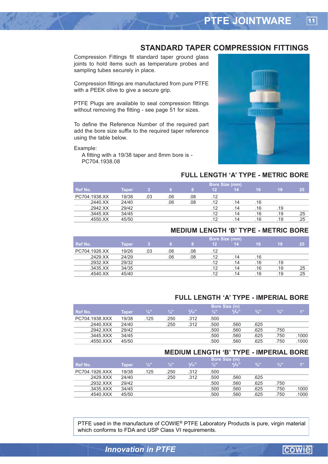## **STANDARD TAPER COMPRESSION FITTINGS**

Compression Fittings fit standard taper ground glass joints to hold items such as temperature probes and sampling tubes securely in place.

Compression fittings are manufactured from pure PTFE with a PEEK olive to give a secure grip.

PTFE Plugs are available to seal compression fittings without removing the fitting - see page 51 for sizes.

To define the Reference Number of the required part add the bore size suffix to the required taper reference using the table below.

Example:

A fitting with a 19/38 taper and 8mm bore is -PC704.1938.08



### FULL LENGTH 'A' TYPE - METRIC BORE

|               |              | <b>Bore Size (mm)</b> |     |     |                 |     |     |     |     |
|---------------|--------------|-----------------------|-----|-----|-----------------|-----|-----|-----|-----|
| Ref No.       | <b>Taper</b> |                       |     |     | 12 <sup>°</sup> | 14  | 16. | 19  | 25  |
| PC704.1938.XX | 19/38        | .03                   | .06 | .08 | .12             |     |     |     |     |
| .2440.XX      | 24/40        |                       | .06 | .08 | .12             | 14  | .16 |     |     |
| .2942.XX      | 29/42        |                       |     |     | .12             | 14  | .16 | .19 |     |
| .3445.XX      | 34/45        |                       |     |     | .12             | .14 | .16 | .19 | .25 |
| .4550.XX      | 45/50        |                       |     |     | 12              | 14  | 16  | .19 | .25 |

### **MEDIUM LENGTH 'B' TYPE - METRIC BORE**

|               |       | Bore Size (mm) |     |     |                 |     |           |     |     |
|---------------|-------|----------------|-----|-----|-----------------|-----|-----------|-----|-----|
| Ref No.       | Taper |                |     |     | 12 <sup>2</sup> | 14  | <b>16</b> | 19  | 25  |
| PC704.1926.XX | 19/26 | .03            | .06 | .08 | .12             |     |           |     |     |
| .2429.XX      | 24/29 |                | .06 | .08 | .12             | 14  | .16       |     |     |
| .2932.XX      | 29/32 |                |     |     | .12             | .14 | .16       | .19 |     |
| .3435.XX      | 34/35 |                |     |     | .12             | .14 | .16       | .19 | .25 |
| .4540.XX      | 45/40 |                |     |     | .12             | .14 | .16       | .19 | .25 |

### FULL LENGTH 'A' TYPE - IMPERIAL BORE

|                | <b>Bore Size (in)</b> |                 |               |          |               |                |               |               |       |
|----------------|-----------------------|-----------------|---------------|----------|---------------|----------------|---------------|---------------|-------|
| Ref No.        | Taper                 | $\frac{1}{8}$ " | $\frac{1}{4}$ | $5/16$ " | $\frac{1}{2}$ | $\frac{9}{16}$ | $\frac{5}{3}$ | $\frac{3}{4}$ | 433   |
| PC704.1938.XXX | 19/38                 | .125            | .250          | .312     | .500          |                |               |               |       |
| .2440.XXX      | 24/40                 |                 | .250          | .312     | .500          | .560           | .625          |               |       |
| .2942.XXX      | 29/42                 |                 |               |          | .500          | .560           | .625          | .750          |       |
| .3445.XXX      | 34/45                 |                 |               |          | .500          | .560           | .625          | .750          | .1000 |
| .4550.XXX      | 45/50                 |                 |               |          | .500          | .560           | .625          | .750          | .1000 |

## **MEDIUM LENGTH 'B' TYPE - IMPERIAL BORE**

|                |              | Bore Size (in) |               |          |               |      |               |               |       |
|----------------|--------------|----------------|---------------|----------|---------------|------|---------------|---------------|-------|
| Ref No.        | <b>Taper</b> | $\frac{1}{2}$  | $\frac{1}{4}$ | $5/16$ " | $\frac{1}{2}$ | 9/16 | $\frac{5}{3}$ | $\frac{3}{4}$ | 4"    |
| PC704.1926.XXX | 19/38        | 125            | .250          | .312     | .500          |      |               |               |       |
| .2429.XXX      | 24/40        |                | .250          | .312     | .500          | .560 | .625          |               |       |
| .2932.XXX      | 29/42        |                |               |          | .500          | .560 | .625          | .750          |       |
| .3435.XXX      | 34/45        |                |               |          | .500          | .560 | .625          | .750          | .1000 |
| .4540.XXX      | 45/50        |                |               |          | .500          | .560 | .625          | .750          | .1000 |

PTFE used in the manufacture of COWIE® PTFE Laboratory Products is pure, virgin material which conforms to FDA and USP Class VI requirements.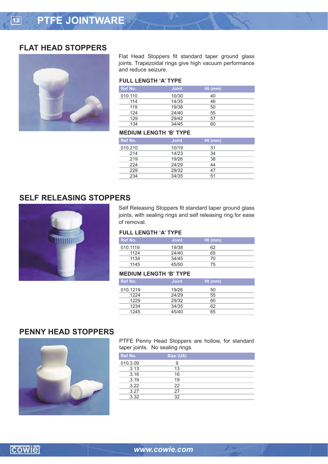# **FLAT HEAD STOPPERS**



Flat Head Stoppers fit standard taper ground glass joints. Trapezoidal rings give high vacuum performance and reduce seizure.

#### **FULL LENGTH 'A' TYPE**

| Ref No.     | <b>Joint</b> | $Ht$ (mm) |  |
|-------------|--------------|-----------|--|
| 010.110     | 10/30        | 40        |  |
| .114        | 14/35        | 46        |  |
| .119        | 19/38        | 50        |  |
| .124        | 24/40        | 55        |  |
| .129        | 29/42        | 57        |  |
| 13 $\Delta$ | 34/45        | ഒറ        |  |

### **MEDIUM LENGTH 'B' TYPE**

| Ref No. | <b>Joint</b> | $Ht$ (mm) |  |
|---------|--------------|-----------|--|
| 010.210 | 10/19        | 31        |  |
| .214    | 14/23        | 34        |  |
| .219    | 19/26        | 38        |  |
| .224    | 24/29        | 44        |  |
| .229    | 29/32        | 47        |  |
| .234    | 34/35        | 51        |  |

# **SELF RELEASING STOPPERS**



Self Releasing Stoppers fit standard taper ground glass joints, with sealing rings and self releasing ring for ease of removal.

### **FULL LENGTH 'A' TYPE**

| Ref No.  | <b>Joint</b> | $Ht$ (mm) |
|----------|--------------|-----------|
| 010.1119 | 19/38        | 62        |
| .1124    | 24/40        | 65        |
| .1134    | 34/45        | 70        |
| .1145    | 45/50        | 75        |

### **MEDIUM LENGTH 'B' TYPE**

| Ref No.  | <b>Joint</b> | $Ht$ (mm) |  |
|----------|--------------|-----------|--|
| 010.1219 | 19/26        | 50        |  |
| .1224    | 24/29        | 55        |  |
| .1229    | 29/32        | 60        |  |
| .1234    | 34/35        | 62        |  |
| .1245    | 45/40        | 65        |  |

## **PENNY HEAD STOPPERS**



PTFE Penny Head Stoppers are hollow, for standard taper joints. No sealing rings.

| Ref No.  | Size (US) |  |
|----------|-----------|--|
| 010.3.09 | 9         |  |
| .3.13    | 13        |  |
| .3.16    | 16        |  |
| .3.19    | 19        |  |
| .3.22    | 22        |  |
| .3.27    | 27        |  |
| .3.32    | 32        |  |